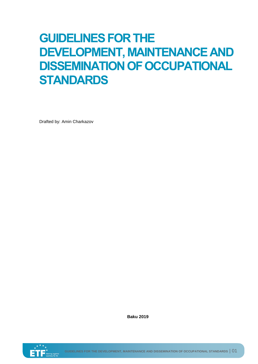# **GUIDELINES FOR THE DEVELOPMENT, MAINTENANCE AND DISSEMINATION OF OCCUPATIONAL STANDARDS**

Drafted by: Amin Charkazov

**Baku 2019**

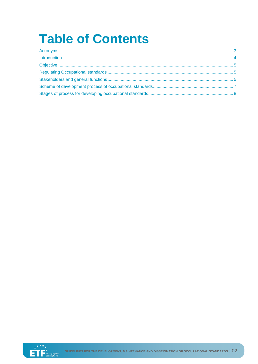# **Table of Contents**

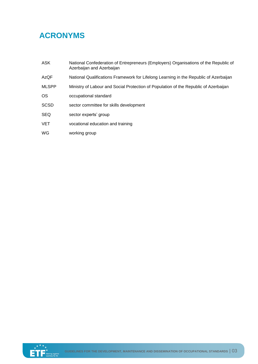# <span id="page-2-0"></span>**ACRONYMS**

| <b>ASK</b>   | National Confederation of Entrepreneurs (Employers) Organisations of the Republic of<br>Azerbaijan and Azerbaijan |
|--------------|-------------------------------------------------------------------------------------------------------------------|
| AzQF         | National Qualifications Framework for Lifelong Learning in the Republic of Azerbaijan                             |
| <b>MLSPP</b> | Ministry of Labour and Social Protection of Population of the Republic of Azerbaijan                              |
| <b>OS</b>    | occupational standard                                                                                             |
| <b>SCSD</b>  | sector committee for skills development                                                                           |
| <b>SEQ</b>   | sector experts' group                                                                                             |
| <b>VET</b>   | vocational education and training                                                                                 |
| WG           | working group                                                                                                     |

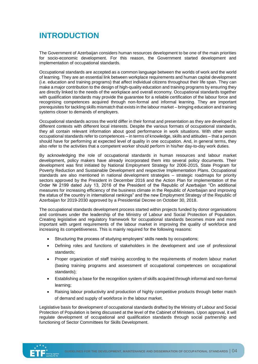## <span id="page-3-0"></span>**INTRODUCTION**

The Government of Azerbaijan considers human resources development to be one of the main priorities for socio-economic development. For this reason, the Government started development and implementation of occupational standards.

Occupational standards are accepted as a common language between the worlds of work and the world of learning. They are an essential link between workplace requirements and human capital development (i.e. education and training programs) that affect individual citizens throughout their life span. They can make a major contribution to the design of high-quality education and training programs by ensuring they are directly linked to the needs of the workplace and overall economy. Occupational standards together with qualification standards may provide the guarantee for a reliable certification of the labour force and recognising competences acquired through non-formal and informal learning. They are important prerequisites for tackling skills mismatch that exists in the labour market – bringing education and training systems closer to demands of employers.

Occupational standards across the world differ in their format and presentation as they are developed in different contexts with different local interests. Despite the various formats of occupational standards, they all contain relevant information about good performance in work situations. With other words occupational standards refer to competences – in terms of knowledge, skills and attitudes – that a person should have for performing at expected level of quality in one occupation. And, in general terms, they also refer to the activities that a competent worker should perform in his/her day-to-day work duties.

By acknowledging the role of occupational standards in human resources and labour market development, policy makers have already incorporated them into several policy documents. Their development was first initiated by National Employment Strategy for 2006-2015, State Program for Poverty Reduction and Sustainable Development and respective Implementation Plans. Occupational standards are also mentioned in national development strategies – strategic roadmaps for priority sectors approved by the President in December 2016 and the Action Plan for implementation of the Order № 2199 dated July 13, 2016 of the President of the Republic of Azerbaijan "On additional measures for increasing efficiency of the business climate in the Republic of Azerbaijan and improving the status of the country in international rankings" and the new Employment Strategy of the Republic of Azerbaijan for 2019-2030 approved by a Presidential Decree on October 30, 2018.

The occupational standards development process started within projects funded by donor organisations and continues under the leadership of the Ministry of Labour and Social Protection of Population. Creating legislative and regulatory framework for occupational standards becomes more and more important with urgent requirements of the labour market in improving the quality of workforce and increasing its competitiveness. This is mainly required for the following reasons:

- Structuring the process of studying employers' skills needs by occupations;
- Defining roles and functions of stakeholders in the development and use of professional standards;
- Proper organization of staff training according to the requirements of modern labour market (basing training programs and assessment of occupational competences on occupational standards);
- Establishing a base for the recognition system of skills acquired through informal and non-formal learning;
- Raising labour productivity and production of highly competitive products through better match of demand and supply of workforce in the labour market.

Legislative basis for development of occupational standards drafted by the Ministry of Labour and Social Protection of Population is being discussed at the level of the Cabinet of Ministers. Upon approval, it will regulate development of occupational and qualification standards through social partnership and functioning of Sector Committees for Skills Development.

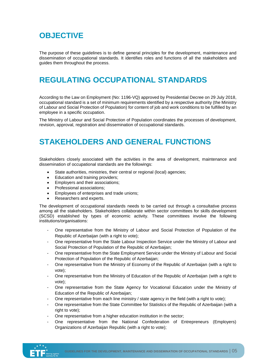### <span id="page-4-0"></span>**OBJECTIVE**

The purpose of these guidelines is to define general principles for the development, maintenance and dissemination of occupational standards. It identifies roles and functions of all the stakeholders and guides them throughout the process.

#### <span id="page-4-1"></span>**REGULATING OCCUPATIONAL STANDARDS**

According to the Law on Employment (No: 1196-VQ) approved by Presidential Decree on 29 July 2018, occupational standard is a set of minimum requirements identified by a respective authority (the Ministry of Labour and Social Protection of Population) for content of job and work conditions to be fulfilled by an employee in a specific occupation.

The Ministry of Labour and Social Protection of Population coordinates the processes of development, revision, approval, registration and dissemination of occupational standards.

#### <span id="page-4-2"></span>**STAKEHOLDERS AND GENERAL FUNCTIONS**

Stakeholders closely associated with the activities in the area of development, maintenance and dissemination of occupational standards are the followings:

- State authorities, ministries, their central or regional (local) agencies;
- Education and training providers;
- Employers and their associations;
- Professional associations;
- Employees of enterprises and trade unions;
- Researchers and experts.

The development of occupational standards needs to be carried out through a consultative process among all the stakeholders. Stakeholders collaborate within sector committees for skills development (SCSD) established by types of economic activity. These committees involve the following institutions/organisations:

- One representative from the Ministry of Labour and Social Protection of Population of the Republic of Azerbaijan (with a right to vote);
- One representative from the State Labour Inspection Service under the Ministry of Labour and Social Protection of Population of the Republic of Azerbaijan;
- One representative from the State Employment Service under the Ministry of Labour and Social Protection of Population of the Republic of Azerbaijan;
- One representative from the Ministry of Economy of the Republic of Azerbaijan (with a right to vote);
- One representative from the Ministry of Education of the Republic of Azerbaijan (with a right to vote);
- One representative from the State Agency for Vocational Education under the Ministry of Education of the Republic of Azerbaijan;
- One representative from each line ministry / state agency in the field (with a right to vote);
- One representative from the State Committee for Statistics of the Republic of Azerbaijan (with a right to vote);
- One representative from a higher education institution in the sector;
- One representative from the National Confederation of Entrepreneurs (Employers) Organizations of Azerbaijan Republic (with a right to vote);

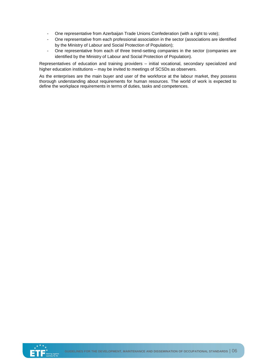- One representative from Azerbaijan Trade Unions Confederation (with a right to vote);
- One representative from each professional association in the sector (associations are identified by the Ministry of Labour and Social Protection of Population);
- One representative from each of three trend-setting companies in the sector (companies are identified by the Ministry of Labour and Social Protection of Population).

Representatives of education and training providers – initial vocational, secondary specialized and higher education institutions – may be invited to meetings of SCSDs as observers.

As the enterprises are the main buyer and user of the workforce at the labour market, they possess thorough understanding about requirements for human resources. The world of work is expected to define the workplace requirements in terms of duties, tasks and competences.

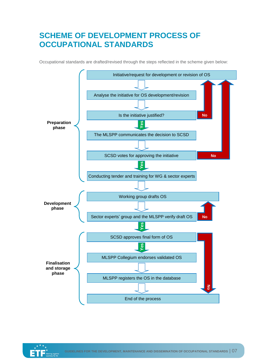### <span id="page-6-0"></span>**SCHEME OF DEVELOPMENT PROCESS OF OCCUPATIONAL STANDARDS**

Occupational standards are drafted/revised through the steps reflected in the scheme given below:



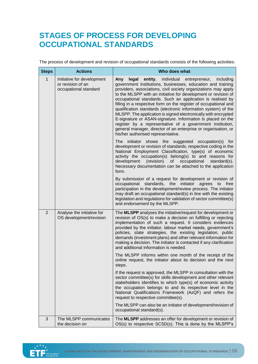#### <span id="page-7-0"></span>**STAGES OF PROCESS FOR DEVELOPING OCCUPATIONAL STANDARDS**

The process of development and revision of occupational standards consists of the following activities:

| <b>Steps</b>   | <b>Actions</b>                                                           | Who does what                                                                                                                                                                                                                                                                                                                                                                                                                                                                                                                                                                                                                                                                                                                                                                 |
|----------------|--------------------------------------------------------------------------|-------------------------------------------------------------------------------------------------------------------------------------------------------------------------------------------------------------------------------------------------------------------------------------------------------------------------------------------------------------------------------------------------------------------------------------------------------------------------------------------------------------------------------------------------------------------------------------------------------------------------------------------------------------------------------------------------------------------------------------------------------------------------------|
| $\mathbf{1}$   | Initiative for development<br>or revision of an<br>occupational standard | individual entrepreneur,<br>Any<br>legal<br>entity,<br>including<br>government institutions, businesses, education and training<br>providers, associations, civil society organizations may apply<br>to the MLSPP with an initiative for development or revision of<br>occupational standards. Such an application is realised by<br>filling in a respective form on the register of occupational and<br>qualification standards (electronic information system) of the<br>MLSPP. The application is signed electronically with encrypted<br>E-signature or ASAN-signature. Information is placed on the<br>register by a representative of a government institution,<br>general manager, director of an enterprise or organisation, or<br>his/her authorised representative. |
|                |                                                                          | initiator<br>shows the suggested occupation(s)<br>The<br>tor<br>development or revision of standards, respective coding in the<br>National Employment Classification, type(s) of economic<br>activity the occupation(s) belong(s) to and reasons for<br>development<br>(revision)<br>of<br>occupational<br>standard(s).<br>Necessary documentation can be attached to the application<br>form.                                                                                                                                                                                                                                                                                                                                                                                |
|                |                                                                          | By submission of a request for development or revision of<br>occupational standards, the initiator agrees to free<br>participation in the development/review process. The initiator<br>may draft an occupational standard(s) in line with the existing<br>legislation and regulations for validation of sector committee(s)<br>and endorsement by the MLSPP.                                                                                                                                                                                                                                                                                                                                                                                                                  |
| $\overline{2}$ | Analyse the initiative for<br>OS development/revision                    | The MLSPP analyses the initiative/request for development or<br>revision of OS(s) to make a decision on fulfilling or rejecting<br>implementation of such a request. It considers evidences<br>provided by the initiator, labour market needs, government's<br>policies, state strategies, the existing legislation, public<br>demands (investment plans) and other relevant information for<br>making a decision. The initiator is contacted if any clarification<br>and additional information is needed.                                                                                                                                                                                                                                                                   |
|                |                                                                          | The MLSPP informs within one month of the receipt of the<br>online request, the initiator about its decision and the next<br>steps.                                                                                                                                                                                                                                                                                                                                                                                                                                                                                                                                                                                                                                           |
|                |                                                                          | If the request is approved, the MLSPP in consultation with the<br>sector committee(s) for skills development and other relevant<br>stakeholders identifies to which type(s) of economic activity<br>the occupation belongs to and its respective level in the<br>National Qualifications Framework (AzQF) and refers the<br>request to respective committee(s).                                                                                                                                                                                                                                                                                                                                                                                                               |
|                |                                                                          | The MLSPP can also be an initiator of development/revision of<br>occupational standard(s).                                                                                                                                                                                                                                                                                                                                                                                                                                                                                                                                                                                                                                                                                    |
| 3              | The MLSPP communicates<br>the decision on                                | The MLSPP addresses an offer for development or revision of<br>OS(s) to respective SCSD(s). This is done by the MLSPP's                                                                                                                                                                                                                                                                                                                                                                                                                                                                                                                                                                                                                                                       |

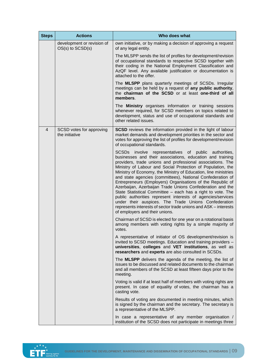| <b>Steps</b>   | <b>Actions</b>                                     | Who does what                                                                                                                                                                                                                                                                                                                                                                                                                                                                                                                                                                                                                                                                                                                                                                                         |
|----------------|----------------------------------------------------|-------------------------------------------------------------------------------------------------------------------------------------------------------------------------------------------------------------------------------------------------------------------------------------------------------------------------------------------------------------------------------------------------------------------------------------------------------------------------------------------------------------------------------------------------------------------------------------------------------------------------------------------------------------------------------------------------------------------------------------------------------------------------------------------------------|
|                | development or revision of<br>$OS(s)$ to $SCSD(s)$ | own initiative, or by making a decision of approving a request<br>of any legal entity.                                                                                                                                                                                                                                                                                                                                                                                                                                                                                                                                                                                                                                                                                                                |
|                |                                                    | The MLSPP sends the list of profiles for development/revision<br>of occupational standards to respective SCSD together with<br>their coding in the National Employment Classification and<br>AzQF level. Any available justification or documentation is<br>attached to the offer.                                                                                                                                                                                                                                                                                                                                                                                                                                                                                                                    |
|                |                                                    | The MLSPP plans quarterly meetings of SCSDs. Irregular<br>meetings can be held by a request of any public authority,<br>the chairman of the SCSD or at least one-third of all<br>members.                                                                                                                                                                                                                                                                                                                                                                                                                                                                                                                                                                                                             |
|                |                                                    | The <b>Ministry</b> organises information or training sessions<br>whenever required, for SCSD members on topics related to<br>development, status and use of occupational standards and<br>other related issues.                                                                                                                                                                                                                                                                                                                                                                                                                                                                                                                                                                                      |
| $\overline{4}$ | SCSD votes for approving<br>the initiative         | <b>SCSD</b> reviews the information provided in the light of labour<br>market demands and development priorities in the sector and<br>votes for approving the list of profiles for development/revision<br>of occupational standards.                                                                                                                                                                                                                                                                                                                                                                                                                                                                                                                                                                 |
|                |                                                    | SCSDs involve representatives of public authorities,<br>businesses and their associations, education and training<br>providers, trade unions and professional associations. The<br>Ministry of Labour and Social Protection of Population, the<br>Ministry of Economy, the Ministry of Education, line ministries<br>and state agencies (committees), National Confederation of<br>Entrepreneurs (Employers) Organisations of the Republic of<br>Azerbaijan, Azerbaijan Trade Unions Confederation and the<br>State Statistical Committee - each has a right to vote. The<br>public authorities represent interests of agencies/services<br>under their auspices. The Trade Unions Confederation<br>represents interests of sector trade unions and ASK - interests<br>of employers and their unions. |
|                |                                                    | Chairman of SCSD is elected for one year on a rotational basis<br>among members with voting rights by a simple majority of<br>votes.                                                                                                                                                                                                                                                                                                                                                                                                                                                                                                                                                                                                                                                                  |
|                |                                                    | A representative of initiator of OS development/revision is<br>invited to SCSD meetings. Education and training providers -<br>universities, colleges and VET institutions, as well as<br>researchers and experts are also consulted in SCSDs.                                                                                                                                                                                                                                                                                                                                                                                                                                                                                                                                                        |
|                |                                                    | The MLSPP delivers the agenda of the meeting, the list of<br>issues to be discussed and related documents to the chairman<br>and all members of the SCSD at least fifteen days prior to the<br>meeting.                                                                                                                                                                                                                                                                                                                                                                                                                                                                                                                                                                                               |
|                |                                                    | Voting is valid if at least half of members with voting rights are<br>present. In case of equality of votes, the chairman has a<br>casting vote.                                                                                                                                                                                                                                                                                                                                                                                                                                                                                                                                                                                                                                                      |
|                |                                                    | Results of voting are documented in meeting minutes, which<br>is signed by the chairman and the secretary. The secretary is<br>a representative of the MLSPP.                                                                                                                                                                                                                                                                                                                                                                                                                                                                                                                                                                                                                                         |
|                |                                                    | In case a representative of any member organisation /<br>institution of the SCSD does not participate in meetings three                                                                                                                                                                                                                                                                                                                                                                                                                                                                                                                                                                                                                                                                               |

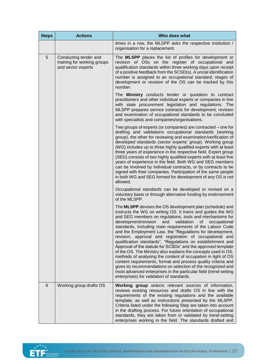| <b>Steps</b>                                                                    | <b>Actions</b>                                                                                                                                                                                                                                                                                                                                                                                                                                                                                                                                                                                                                                                                                                                                   | Who does what                                                                                                                                                                                                                                                                                                                                                                                                                                                                                                                                                                                                                                                                                                                                                                                                                                                                                                                                                |
|---------------------------------------------------------------------------------|--------------------------------------------------------------------------------------------------------------------------------------------------------------------------------------------------------------------------------------------------------------------------------------------------------------------------------------------------------------------------------------------------------------------------------------------------------------------------------------------------------------------------------------------------------------------------------------------------------------------------------------------------------------------------------------------------------------------------------------------------|--------------------------------------------------------------------------------------------------------------------------------------------------------------------------------------------------------------------------------------------------------------------------------------------------------------------------------------------------------------------------------------------------------------------------------------------------------------------------------------------------------------------------------------------------------------------------------------------------------------------------------------------------------------------------------------------------------------------------------------------------------------------------------------------------------------------------------------------------------------------------------------------------------------------------------------------------------------|
|                                                                                 |                                                                                                                                                                                                                                                                                                                                                                                                                                                                                                                                                                                                                                                                                                                                                  | times in a row, the MLSPP asks the respective institution /<br>organisation for a replacement.                                                                                                                                                                                                                                                                                                                                                                                                                                                                                                                                                                                                                                                                                                                                                                                                                                                               |
| 5<br>Conducting tender and<br>training for working groups<br>and sector experts |                                                                                                                                                                                                                                                                                                                                                                                                                                                                                                                                                                                                                                                                                                                                                  | The MLSPP places the list of profiles for development or<br>revision of OSs on the register of occupational and<br>qualification standards within three working days upon receipt<br>of a positive feedback from the SCSD(s). A uncial identification<br>number is assigned to an occupational standard; stages of<br>development or revision of the OS can be tracked by this<br>number.                                                                                                                                                                                                                                                                                                                                                                                                                                                                                                                                                                    |
|                                                                                 | The Ministry conducts tender or quotation to contract<br>practitioners and other individual experts or companies in line<br>with state procurement legislation and regulations. The<br>MLSPP prepares service contracts for development, revision<br>and examination of occupational standards to be concluded<br>with specialists and companies/organisations.                                                                                                                                                                                                                                                                                                                                                                                  |                                                                                                                                                                                                                                                                                                                                                                                                                                                                                                                                                                                                                                                                                                                                                                                                                                                                                                                                                              |
|                                                                                 | Two groups of experts (or companies) are contracted – one for<br>drafting and validations occupational standards (working<br>group), the other for reviewing and examination/verification of<br>developed standards (sector experts' group). Working group<br>(WG) includes up to three highly qualified experts with at least<br>three years of experience in the respective field. Expert group<br>(SEG) consists of two highly qualified experts with at least five<br>years of experience in the field. Both WG and SEG members<br>can be involved by individual contracts, or by contracts to be<br>signed with their companies. Participation of the same people<br>in both WG and SEG formed for development of any OS is not<br>allowed. |                                                                                                                                                                                                                                                                                                                                                                                                                                                                                                                                                                                                                                                                                                                                                                                                                                                                                                                                                              |
|                                                                                 |                                                                                                                                                                                                                                                                                                                                                                                                                                                                                                                                                                                                                                                                                                                                                  | Occupational standards can be developed or revised on a<br>voluntary basis or through alternative funding by endorsement<br>of the MLSPP.                                                                                                                                                                                                                                                                                                                                                                                                                                                                                                                                                                                                                                                                                                                                                                                                                    |
|                                                                                 |                                                                                                                                                                                                                                                                                                                                                                                                                                                                                                                                                                                                                                                                                                                                                  | The MLSPP devises the OS development plan (schedule) and<br>instructs the WG on writing OS. It trains and guides the WG<br>and SEG members on regulations, tools and mechanisms for<br>development/revision<br>and<br>validation of<br>occupational<br>standards, including main requirements of the Labour Code<br>and the Employment Law, the "Regulations for development,<br>revision, approval and registration of occupational and<br>qualification standards", "Regulations on establishment and<br>Approval of the statute for SCSDs" and the approved template<br>of the OS. The Ministry also explains the concepts used in OS,<br>methods of analysing the content of occupation in light of OS<br>content requirements, format and process quality criteria and<br>gives its recommendations on selection of the recognized and<br>most advanced enterprises in the particular field (trend-setting<br>enterprises) for validation of standards. |
| 6                                                                               | Working group drafts OS                                                                                                                                                                                                                                                                                                                                                                                                                                                                                                                                                                                                                                                                                                                          | Working group selects relevant sources of information,<br>reviews existing resources and drafts OS in line with the<br>requirements of the existing regulations and the available<br>template, as well as instructions presented by the MLSPP.<br>Criteria listed under the following Step are taken into account<br>in the drafting process. For future orientation of occupational<br>standards, they are taken from or validated by trend-setting<br>enterprises working in the field. The standards drafted and                                                                                                                                                                                                                                                                                                                                                                                                                                          |

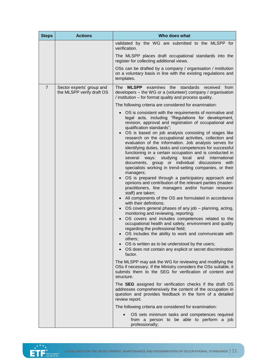| <b>Steps</b>   | <b>Actions</b>                                         | Who does what                                                                                                                                                                                                                                                                                                                                                                                                                                                                                                                                                                                                                                                                                                                                                                                                                                                                                                                                                                                                                                                                                                                                                                                                                                                                 |
|----------------|--------------------------------------------------------|-------------------------------------------------------------------------------------------------------------------------------------------------------------------------------------------------------------------------------------------------------------------------------------------------------------------------------------------------------------------------------------------------------------------------------------------------------------------------------------------------------------------------------------------------------------------------------------------------------------------------------------------------------------------------------------------------------------------------------------------------------------------------------------------------------------------------------------------------------------------------------------------------------------------------------------------------------------------------------------------------------------------------------------------------------------------------------------------------------------------------------------------------------------------------------------------------------------------------------------------------------------------------------|
|                |                                                        | validated by the WG are submitted to the MLSPP for<br>verification.                                                                                                                                                                                                                                                                                                                                                                                                                                                                                                                                                                                                                                                                                                                                                                                                                                                                                                                                                                                                                                                                                                                                                                                                           |
|                |                                                        | The MLSPP places draft occupational standards into the<br>register for collecting additional views.                                                                                                                                                                                                                                                                                                                                                                                                                                                                                                                                                                                                                                                                                                                                                                                                                                                                                                                                                                                                                                                                                                                                                                           |
|                |                                                        | OSs can be drafted by a company / organisation / institution<br>on a voluntary basis in line with the existing regulations and<br>templates.                                                                                                                                                                                                                                                                                                                                                                                                                                                                                                                                                                                                                                                                                                                                                                                                                                                                                                                                                                                                                                                                                                                                  |
| $\overline{7}$ | Sector experts' group and<br>the MLSPP verify draft OS | <b>MLSPP</b><br>examines the standards<br>The l<br>received from<br>developers - the WG or a (volunteer) company / organisation<br>/ institution – for format quality and process quality.                                                                                                                                                                                                                                                                                                                                                                                                                                                                                                                                                                                                                                                                                                                                                                                                                                                                                                                                                                                                                                                                                    |
|                |                                                        | The following criteria are considered for examination:                                                                                                                                                                                                                                                                                                                                                                                                                                                                                                                                                                                                                                                                                                                                                                                                                                                                                                                                                                                                                                                                                                                                                                                                                        |
|                |                                                        | OS is consistent with the requirements of normative and<br>legal acts, including "Regulations for development,<br>revision, approval and registration of occupational and<br>qualification standards";                                                                                                                                                                                                                                                                                                                                                                                                                                                                                                                                                                                                                                                                                                                                                                                                                                                                                                                                                                                                                                                                        |
|                |                                                        | OS is based on job analysis consisting of stages like<br>research on the occupational activities, collection and<br>evaluation of the information. Job analysis serves for<br>identifying duties, tasks and competences for successful<br>functioning in a certain occupation and is conducted in<br>several ways: studying local<br>and<br>international<br>documents, group or individual<br>discussions with<br>specialists working in trend-setting companies, or their<br>managers;<br>OS is prepared through a participatory approach and<br>opinions and contribution of the relevant parties (master-<br>practitioners, line managers and/or human resource<br>staff) are taken;<br>All components of the OS are formulated in accordance<br>$\bullet$<br>with their definitions;<br>OS covers general phases of any job - planning, acting,<br>$\bullet$<br>monitoring and reviewing, reporting;<br>OS covers and includes competences related to the<br>occupational health and safety, environment and quality<br>regarding the professional field;<br>OS includes the ability to work and communicate with<br>$\bullet$<br>others;<br>OS is written as to be understood by the users;<br>$\bullet$<br>• OS does not contain any explicit or secret discrimination |
|                |                                                        | factor.<br>The MLSPP may ask the WG for reviewing and modifying the<br>OSs if necessary. If the Ministry considers the OSs suitable, it<br>submits them to the SEG for verification of content and<br>structure.                                                                                                                                                                                                                                                                                                                                                                                                                                                                                                                                                                                                                                                                                                                                                                                                                                                                                                                                                                                                                                                              |
|                |                                                        | The SEG assigned for verification checks if the draft OS<br>addresses comprehensively the content of the occupation in<br>question and provides feedback in the form of a detailed<br>review report.                                                                                                                                                                                                                                                                                                                                                                                                                                                                                                                                                                                                                                                                                                                                                                                                                                                                                                                                                                                                                                                                          |
|                |                                                        | The following criteria are considered for examination:                                                                                                                                                                                                                                                                                                                                                                                                                                                                                                                                                                                                                                                                                                                                                                                                                                                                                                                                                                                                                                                                                                                                                                                                                        |
|                |                                                        | OS sets minimum tasks and competences required<br>from a person to be able to perform a job<br>professionally;                                                                                                                                                                                                                                                                                                                                                                                                                                                                                                                                                                                                                                                                                                                                                                                                                                                                                                                                                                                                                                                                                                                                                                |